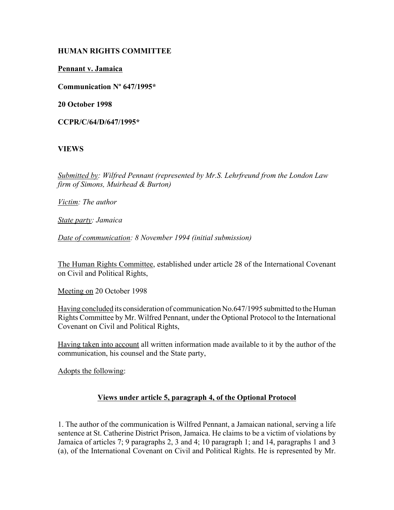## **HUMAN RIGHTS COMMITTEE**

**Pennant v. Jamaica**

**Communication Nº 647/1995\***

**20 October 1998** 

**CCPR/C/64/D/647/1995\***

# **VIEWS**

*Submitted by: Wilfred Pennant (represented by Mr.S. Lehrfreund from the London Law firm of Simons, Muirhead & Burton)* 

*Victim: The author* 

*State party: Jamaica* 

*Date of communication: 8 November 1994 (initial submission)* 

The Human Rights Committee, established under article 28 of the International Covenant on Civil and Political Rights,

Meeting on 20 October 1998

Having concluded its consideration of communication No.647/1995 submitted to the Human Rights Committee by Mr. Wilfred Pennant, under the Optional Protocol to the International Covenant on Civil and Political Rights,

Having taken into account all written information made available to it by the author of the communication, his counsel and the State party,

Adopts the following:

# **Views under article 5, paragraph 4, of the Optional Protocol**

1. The author of the communication is Wilfred Pennant, a Jamaican national, serving a life sentence at St. Catherine District Prison, Jamaica. He claims to be a victim of violations by Jamaica of articles 7; 9 paragraphs 2, 3 and 4; 10 paragraph 1; and 14, paragraphs 1 and 3 (a), of the International Covenant on Civil and Political Rights. He is represented by Mr.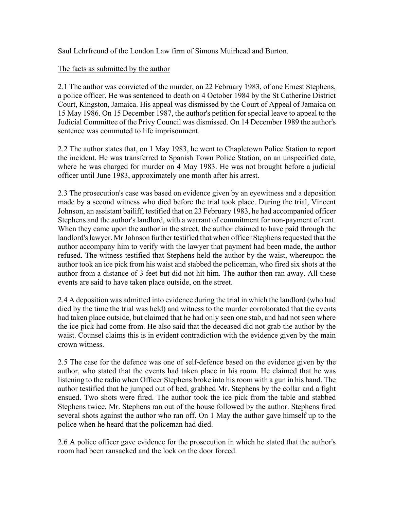Saul Lehrfreund of the London Law firm of Simons Muirhead and Burton.

# The facts as submitted by the author

2.1 The author was convicted of the murder, on 22 February 1983, of one Ernest Stephens, a police officer. He was sentenced to death on 4 October 1984 by the St Catherine District Court, Kingston, Jamaica. His appeal was dismissed by the Court of Appeal of Jamaica on 15 May 1986. On 15 December 1987, the author's petition for special leave to appeal to the Judicial Committee of the Privy Council was dismissed. On 14 December 1989 the author's sentence was commuted to life imprisonment.

2.2 The author states that, on 1 May 1983, he went to Chapletown Police Station to report the incident. He was transferred to Spanish Town Police Station, on an unspecified date, where he was charged for murder on 4 May 1983. He was not brought before a judicial officer until June 1983, approximately one month after his arrest.

2.3 The prosecution's case was based on evidence given by an eyewitness and a deposition made by a second witness who died before the trial took place. During the trial, Vincent Johnson, an assistant bailiff, testified that on 23 February 1983, he had accompanied officer Stephens and the author's landlord, with a warrant of commitment for non-payment of rent. When they came upon the author in the street, the author claimed to have paid through the landlord's lawyer. Mr Johnson further testified that when officer Stephens requested that the author accompany him to verify with the lawyer that payment had been made, the author refused. The witness testified that Stephens held the author by the waist, whereupon the author took an ice pick from his waist and stabbed the policeman, who fired six shots at the author from a distance of 3 feet but did not hit him. The author then ran away. All these events are said to have taken place outside, on the street.

2.4 A deposition was admitted into evidence during the trial in which the landlord (who had died by the time the trial was held) and witness to the murder corroborated that the events had taken place outside, but claimed that he had only seen one stab, and had not seen where the ice pick had come from. He also said that the deceased did not grab the author by the waist. Counsel claims this is in evident contradiction with the evidence given by the main crown witness.

2.5 The case for the defence was one of self-defence based on the evidence given by the author, who stated that the events had taken place in his room. He claimed that he was listening to the radio when Officer Stephens broke into his room with a gun in his hand. The author testified that he jumped out of bed, grabbed Mr. Stephens by the collar and a fight ensued. Two shots were fired. The author took the ice pick from the table and stabbed Stephens twice. Mr. Stephens ran out of the house followed by the author. Stephens fired several shots against the author who ran off. On 1 May the author gave himself up to the police when he heard that the policeman had died.

2.6 A police officer gave evidence for the prosecution in which he stated that the author's room had been ransacked and the lock on the door forced.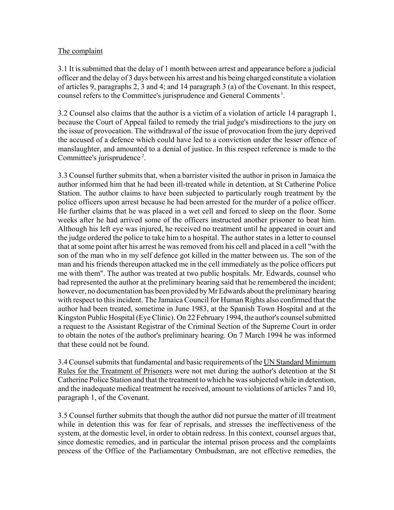## The complaint

3.1 It is submitted that the delay of 1 month between arrest and appearance before a judicial officer and the delay of 3 days between his arrest and his being charged constitute a violation of articles 9, paragraphs 2, 3 and 4; and 14 paragraph 3 (a) of the Covenant. In this respect, counsel refers to the Committee's jurisprudence and General Comments 1.

3.2 Counsel also claims that the author is a victim of a violation of article 14 paragraph 1, because the Court of Appeal failed to remedy the trial judge's misdirections to the jury on the issue of provocation. The withdrawal of the issue of provocation from the jury deprived the accused of a defence which could have led to a conviction under the lesser offence of manslaughter, and amounted to a denial of justice. In this respect reference is made to the Committee's jurisprudence<sup>2</sup>.

3.3 Counsel further submits that, when a barrister visited the author in prison in Jamaica the author informed him that he had been ill-treated while in detention, at St Catherine Police Station. The author claims to have been subjected to particularly rough treatment by the police officers upon arrest because he had been arrested for the murder of a police officer. He further claims that he was placed in a wet cell and forced to sleep on the floor. Some weeks after he had arrived some of the officers instructed another prisoner to beat him. Although his left eye was injured, he received no treatment until he appeared in court and the judge ordered the police to take him to a hospital. The author states in a letter to counsel that at some point after his arrest he was removed from his cell and placed in a cell "with the son of the man who in my self defence got killed in the matter between us. The son of the man and his friends thereupon attacked me in the cell immediately as the police officers put me with them". The author was treated at two public hospitals. Mr. Edwards, counsel who had represented the author at the preliminary hearing said that he remembered the incident; however, no documentation has been provided by Mr Edwards about the preliminary hearing with respect to this incident. The Jamaica Council for Human Rights also confirmed that the author had been treated, sometime in June 1983, at the Spanish Town Hospital and at the Kingston Public Hospital (Eye Clinic). On 22 February 1994, the author's counsel submitted a request to the Assistant Registrar of the Criminal Section of the Supreme Court in order to obtain the notes of the author's preliminary hearing. On 7 March 1994 he was informed that these could not be found.

3.4 Counsel submits that fundamental and basic requirements of the UN Standard Minimum Rules for the Treatment of Prisoners were not met during the author's detention at the St Catherine Police Station and that the treatment to which he was subjected while in detention, and the inadequate medical treatment he received, amount to violations of articles 7 and 10, paragraph 1, of the Covenant.

3.5 Counsel further submits that though the author did not pursue the matter of ill treatment while in detention this was for fear of reprisals, and stresses the ineffectiveness of the system, at the domestic level, in order to obtain redress. In this context, counsel argues that, since domestic remedies, and in particular the internal prison process and the complaints process of the Office of the Parliamentary Ombudsman, are not effective remedies, the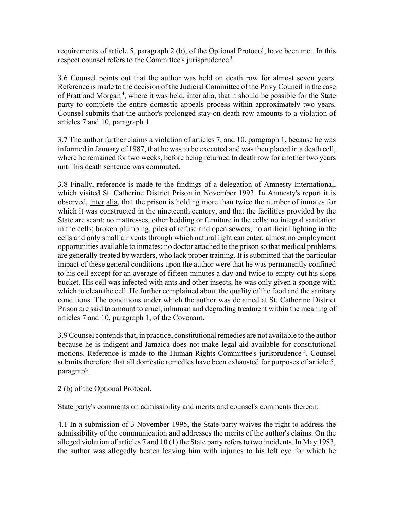requirements of article 5, paragraph 2 (b), of the Optional Protocol, have been met. In this respect counsel refers to the Committee's jurisprudence<sup>3</sup>.

3.6 Counsel points out that the author was held on death row for almost seven years. Reference is made to the decision of the Judicial Committee of the Privy Council in the case of Pratt and Morgan<sup>4</sup>, where it was held, inter alia, that it should be possible for the State party to complete the entire domestic appeals process within approximately two years. Counsel submits that the author's prolonged stay on death row amounts to a violation of articles 7 and 10, paragraph 1.

3.7 The author further claims a violation of articles 7, and 10, paragraph 1, because he was informed in January of 1987, that he was to be executed and was then placed in a death cell, where he remained for two weeks, before being returned to death row for another two years until his death sentence was commuted.

3.8 Finally, reference is made to the findings of a delegation of Amnesty International, which visited St. Catherine District Prison in November 1993. In Amnesty's report it is observed, inter alia, that the prison is holding more than twice the number of inmates for which it was constructed in the nineteenth century, and that the facilities provided by the State are scant: no mattresses, other bedding or furniture in the cells; no integral sanitation in the cells; broken plumbing, piles of refuse and open sewers; no artificial lighting in the cells and only small air vents through which natural light can enter; almost no employment opportunities available to inmates; no doctor attached to the prison so that medical problems are generally treated by warders, who lack proper training. It is submitted that the particular impact of these general conditions upon the author were that he was permanently confined to his cell except for an average of fifteen minutes a day and twice to empty out his slops bucket. His cell was infected with ants and other insects, he was only given a sponge with which to clean the cell. He further complained about the quality of the food and the sanitary conditions. The conditions under which the author was detained at St. Catherine District Prison are said to amount to cruel, inhuman and degrading treatment within the meaning of articles 7 and 10, paragraph 1, of the Covenant.

3.9 Counsel contends that, in practice, constitutional remedies are not available to the author because he is indigent and Jamaica does not make legal aid available for constitutional motions. Reference is made to the Human Rights Committee's jurisprudence  $\delta$ . Counsel submits therefore that all domestic remedies have been exhausted for purposes of article 5, paragraph

2 (b) of the Optional Protocol.

#### State party's comments on admissibility and merits and counsel's comments thereon:

4.1 In a submission of 3 November 1995, the State party waives the right to address the admissibility of the communication and addresses the merits of the author's claims. On the alleged violation of articles 7 and 10 (1) the State party refers to two incidents. In May 1983, the author was allegedly beaten leaving him with injuries to his left eye for which he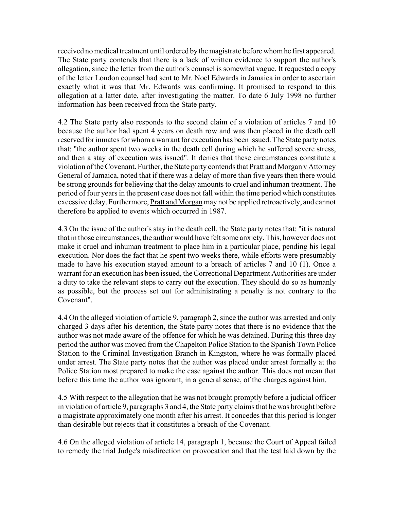received no medical treatment until ordered by the magistrate before whom he first appeared. The State party contends that there is a lack of written evidence to support the author's allegation, since the letter from the author's counsel is somewhat vague. It requested a copy of the letter London counsel had sent to Mr. Noel Edwards in Jamaica in order to ascertain exactly what it was that Mr. Edwards was confirming. It promised to respond to this allegation at a latter date, after investigating the matter. To date 6 July 1998 no further information has been received from the State party.

4.2 The State party also responds to the second claim of a violation of articles 7 and 10 because the author had spent 4 years on death row and was then placed in the death cell reserved for inmates for whom a warrant for execution has been issued. The State party notes that: "the author spent two weeks in the death cell during which he suffered severe stress, and then a stay of execution was issued". It denies that these circumstances constitute a violation of the Covenant. Further, the State party contends that Pratt and Morgan v Attorney General of Jamaica, noted that if there was a delay of more than five years then there would be strong grounds for believing that the delay amounts to cruel and inhuman treatment. The period of four years in the present case does not fall within the time period which constitutes excessive delay. Furthermore, Pratt and Morgan may not be applied retroactively, and cannot therefore be applied to events which occurred in 1987.

4.3 On the issue of the author's stay in the death cell, the State party notes that: "it is natural that in those circumstances, the author would have felt some anxiety. This, however does not make it cruel and inhuman treatment to place him in a particular place, pending his legal execution. Nor does the fact that he spent two weeks there, while efforts were presumably made to have his execution stayed amount to a breach of articles 7 and 10 (1). Once a warrant for an execution has been issued, the Correctional Department Authorities are under a duty to take the relevant steps to carry out the execution. They should do so as humanly as possible, but the process set out for administrating a penalty is not contrary to the Covenant".

4.4 On the alleged violation of article 9, paragraph 2, since the author was arrested and only charged 3 days after his detention, the State party notes that there is no evidence that the author was not made aware of the offence for which he was detained. During this three day period the author was moved from the Chapelton Police Station to the Spanish Town Police Station to the Criminal Investigation Branch in Kingston, where he was formally placed under arrest. The State party notes that the author was placed under arrest formally at the Police Station most prepared to make the case against the author. This does not mean that before this time the author was ignorant, in a general sense, of the charges against him.

4.5 With respect to the allegation that he was not brought promptly before a judicial officer in violation of article 9, paragraphs 3 and 4, the State party claims that he was brought before a magistrate approximately one month after his arrest. It concedes that this period is longer than desirable but rejects that it constitutes a breach of the Covenant.

4.6 On the alleged violation of article 14, paragraph 1, because the Court of Appeal failed to remedy the trial Judge's misdirection on provocation and that the test laid down by the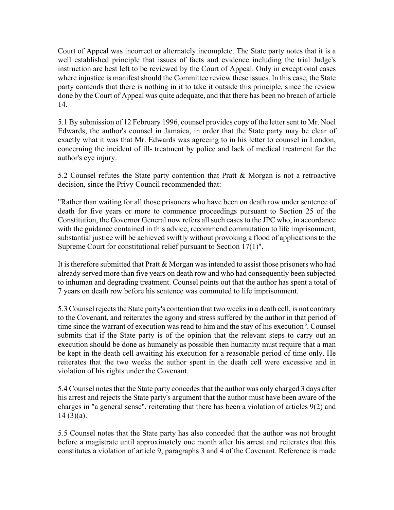Court of Appeal was incorrect or alternately incomplete. The State party notes that it is a well established principle that issues of facts and evidence including the trial Judge's instruction are best left to be reviewed by the Court of Appeal. Only in exceptional cases where injustice is manifest should the Committee review these issues. In this case, the State party contends that there is nothing in it to take it outside this principle, since the review done by the Court of Appeal was quite adequate, and that there has been no breach of article 14.

5.1 By submission of 12 February 1996, counsel provides copy of the letter sent to Mr. Noel Edwards, the author's counsel in Jamaica, in order that the State party may be clear of exactly what it was that Mr. Edwards was agreeing to in his letter to counsel in London, concerning the incident of ill- treatment by police and lack of medical treatment for the author's eye injury.

5.2 Counsel refutes the State party contention that Pratt & Morgan is not a retroactive decision, since the Privy Council recommended that:

"Rather than waiting for all those prisoners who have been on death row under sentence of death for five years or more to commence proceedings pursuant to Section 25 of the Constitution, the Governor General now refers all such cases to the JPC who, in accordance with the guidance contained in this advice, recommend commutation to life imprisonment, substantial justice will be achieved swiftly without provoking a flood of applications to the Supreme Court for constitutional relief pursuant to Section 17(1)".

It is therefore submitted that Pratt & Morgan was intended to assist those prisoners who had already served more than five years on death row and who had consequently been subjected to inhuman and degrading treatment. Counsel points out that the author has spent a total of 7 years on death row before his sentence was commuted to life imprisonment.

5.3 Counsel rejects the State party's contention that two weeks in a death cell, is not contrary to the Covenant, and reiterates the agony and stress suffered by the author in that period of time since the warrant of execution was read to him and the stay of his execution  $6$ . Counsel submits that if the State party is of the opinion that the relevant steps to carry out an execution should be done as humanely as possible then humanity must require that a man be kept in the death cell awaiting his execution for a reasonable period of time only. He reiterates that the two weeks the author spent in the death cell were excessive and in violation of his rights under the Covenant.

5.4 Counsel notes that the State party concedes that the author was only charged 3 days after his arrest and rejects the State party's argument that the author must have been aware of the charges in "a general sense", reiterating that there has been a violation of articles 9(2) and  $14(3)(a)$ .

5.5 Counsel notes that the State party has also conceded that the author was not brought before a magistrate until approximately one month after his arrest and reiterates that this constitutes a violation of article 9, paragraphs 3 and 4 of the Covenant. Reference is made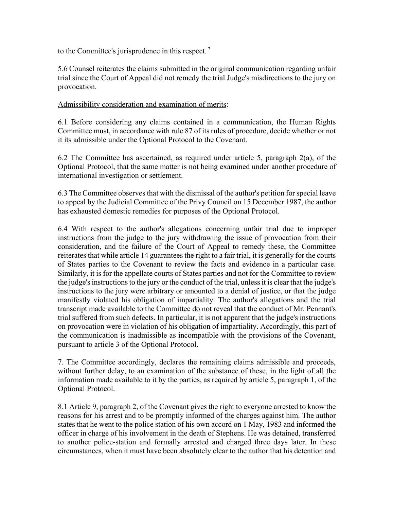to the Committee's jurisprudence in this respect. 7

5.6 Counsel reiterates the claims submitted in the original communication regarding unfair trial since the Court of Appeal did not remedy the trial Judge's misdirections to the jury on provocation.

### Admissibility consideration and examination of merits:

6.1 Before considering any claims contained in a communication, the Human Rights Committee must, in accordance with rule 87 of its rules of procedure, decide whether or not it its admissible under the Optional Protocol to the Covenant.

6.2 The Committee has ascertained, as required under article 5, paragraph 2(a), of the Optional Protocol, that the same matter is not being examined under another procedure of international investigation or settlement.

6.3 The Committee observes that with the dismissal of the author's petition for special leave to appeal by the Judicial Committee of the Privy Council on 15 December 1987, the author has exhausted domestic remedies for purposes of the Optional Protocol.

6.4 With respect to the author's allegations concerning unfair trial due to improper instructions from the judge to the jury withdrawing the issue of provocation from their consideration, and the failure of the Court of Appeal to remedy these, the Committee reiterates that while article 14 guarantees the right to a fair trial, it is generally for the courts of States parties to the Covenant to review the facts and evidence in a particular case. Similarly, it is for the appellate courts of States parties and not for the Committee to review the judge's instructions to the jury or the conduct of the trial, unless it is clear that the judge's instructions to the jury were arbitrary or amounted to a denial of justice, or that the judge manifestly violated his obligation of impartiality. The author's allegations and the trial transcript made available to the Committee do not reveal that the conduct of Mr. Pennant's trial suffered from such defects. In particular, it is not apparent that the judge's instructions on provocation were in violation of his obligation of impartiality. Accordingly, this part of the communication is inadmissible as incompatible with the provisions of the Covenant, pursuant to article 3 of the Optional Protocol.

7. The Committee accordingly, declares the remaining claims admissible and proceeds, without further delay, to an examination of the substance of these, in the light of all the information made available to it by the parties, as required by article 5, paragraph 1, of the Optional Protocol.

8.1 Article 9, paragraph 2, of the Covenant gives the right to everyone arrested to know the reasons for his arrest and to be promptly informed of the charges against him. The author states that he went to the police station of his own accord on 1 May, 1983 and informed the officer in charge of his involvement in the death of Stephens. He was detained, transferred to another police-station and formally arrested and charged three days later. In these circumstances, when it must have been absolutely clear to the author that his detention and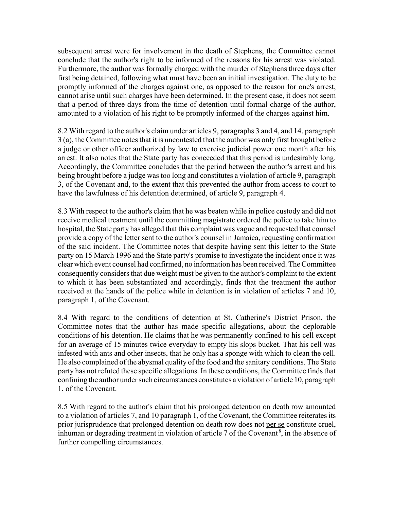subsequent arrest were for involvement in the death of Stephens, the Committee cannot conclude that the author's right to be informed of the reasons for his arrest was violated. Furthermore, the author was formally charged with the murder of Stephens three days after first being detained, following what must have been an initial investigation. The duty to be promptly informed of the charges against one, as opposed to the reason for one's arrest, cannot arise until such charges have been determined. In the present case, it does not seem that a period of three days from the time of detention until formal charge of the author, amounted to a violation of his right to be promptly informed of the charges against him.

8.2 With regard to the author's claim under articles 9, paragraphs 3 and 4, and 14, paragraph 3 (a), the Committee notes that it is uncontested that the author was only first brought before a judge or other officer authorized by law to exercise judicial power one month after his arrest. It also notes that the State party has conceeded that this period is undesirably long. Accordingly, the Committee concludes that the period between the author's arrest and his being brought before a judge was too long and constitutes a violation of article 9, paragraph 3, of the Covenant and, to the extent that this prevented the author from access to court to have the lawfulness of his detention determined, of article 9, paragraph 4.

8.3 With respect to the author's claim that he was beaten while in police custody and did not receive medical treatment until the committing magistrate ordered the police to take him to hospital, the State party has alleged that this complaint was vague and requested that counsel provide a copy of the letter sent to the author's counsel in Jamaica, requesting confirmation of the said incident. The Committee notes that despite having sent this letter to the State party on 15 March 1996 and the State party's promise to investigate the incident once it was clear which event counsel had confirmed, no information has been received. The Committee consequently considers that due weight must be given to the author's complaint to the extent to which it has been substantiated and accordingly, finds that the treatment the author received at the hands of the police while in detention is in violation of articles 7 and 10, paragraph 1, of the Covenant.

8.4 With regard to the conditions of detention at St. Catherine's District Prison, the Committee notes that the author has made specific allegations, about the deplorable conditions of his detention. He claims that he was permanently confined to his cell except for an average of 15 minutes twice everyday to empty his slops bucket. That his cell was infested with ants and other insects, that he only has a sponge with which to clean the cell. He also complained of the abysmal quality of the food and the sanitary conditions. The State party has not refuted these specific allegations. In these conditions, the Committee finds that confining the author under such circumstances constitutes a violation of article 10, paragraph 1, of the Covenant.

8.5 With regard to the author's claim that his prolonged detention on death row amounted to a violation of articles 7, and 10 paragraph 1, of the Covenant, the Committee reiterates its prior jurisprudence that prolonged detention on death row does not per se constitute cruel, inhuman or degrading treatment in violation of article 7 of the Covenant<sup>8</sup>, in the absence of further compelling circumstances.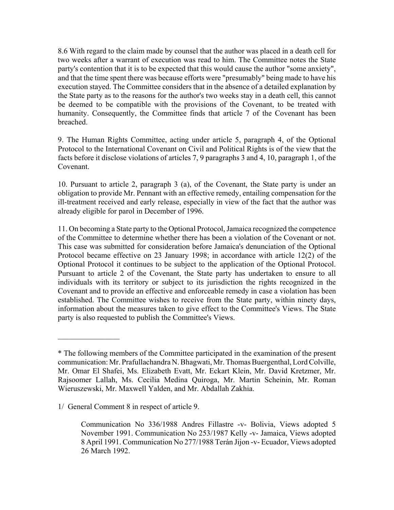8.6 With regard to the claim made by counsel that the author was placed in a death cell for two weeks after a warrant of execution was read to him. The Committee notes the State party's contention that it is to be expected that this would cause the author "some anxiety", and that the time spent there was because efforts were "presumably" being made to have his execution stayed. The Committee considers that in the absence of a detailed explanation by the State party as to the reasons for the author's two weeks stay in a death cell, this cannot be deemed to be compatible with the provisions of the Covenant, to be treated with humanity. Consequently, the Committee finds that article 7 of the Covenant has been breached.

9. The Human Rights Committee, acting under article 5, paragraph 4, of the Optional Protocol to the International Covenant on Civil and Political Rights is of the view that the facts before it disclose violations of articles 7, 9 paragraphs 3 and 4, 10, paragraph 1, of the Covenant.

10. Pursuant to article 2, paragraph 3 (a), of the Covenant, the State party is under an obligation to provide Mr. Pennant with an effective remedy, entailing compensation for the ill-treatment received and early release, especially in view of the fact that the author was already eligible for parol in December of 1996.

11. On becoming a State party to the Optional Protocol, Jamaica recognized the competence of the Committee to determine whether there has been a violation of the Covenant or not. This case was submitted for consideration before Jamaica's denunciation of the Optional Protocol became effective on 23 January 1998; in accordance with article 12(2) of the Optional Protocol it continues to be subject to the application of the Optional Protocol. Pursuant to article 2 of the Covenant, the State party has undertaken to ensure to all individuals with its territory or subject to its jurisdiction the rights recognized in the Covenant and to provide an effective and enforceable remedy in case a violation has been established. The Committee wishes to receive from the State party, within ninety days, information about the measures taken to give effect to the Committee's Views. The State party is also requested to publish the Committee's Views.

 $\mathcal{L}_\text{max}$ 

<sup>\*</sup> The following members of the Committee participated in the examination of the present communication: Mr. Prafullachandra N. Bhagwati, Mr. Thomas Buergenthal, Lord Colville, Mr. Omar El Shafei, Ms. Elizabeth Evatt, Mr. Eckart Klein, Mr. David Kretzmer, Mr. Rajsoomer Lallah, Ms. Cecilia Medina Quiroga, Mr. Martin Scheinin, Mr. Roman Wieruszewski, Mr. Maxwell Yalden, and Mr. Abdallah Zakhia.

<sup>1/</sup> General Comment 8 in respect of article 9.

Communication No 336/1988 Andres Fillastre -v- Bolivia, Views adopted 5 November 1991. Communication No 253/1987 Kelly -v- Jamaica, Views adopted 8 April 1991. Communication No 277/1988 Terán Jijon -v- Ecuador, Views adopted 26 March 1992.